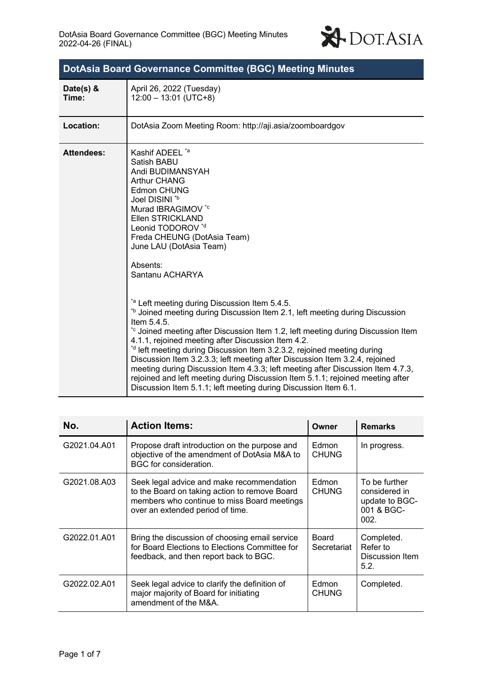

| <b>DotAsia Board Governance Committee (BGC) Meeting Minutes</b> |                                                                                                                                                                                                                                                                                                                                                                                                                                                                                                                                                                                                                                                                                                                                                                                                                                                                                                                                                                                                            |  |  |  |
|-----------------------------------------------------------------|------------------------------------------------------------------------------------------------------------------------------------------------------------------------------------------------------------------------------------------------------------------------------------------------------------------------------------------------------------------------------------------------------------------------------------------------------------------------------------------------------------------------------------------------------------------------------------------------------------------------------------------------------------------------------------------------------------------------------------------------------------------------------------------------------------------------------------------------------------------------------------------------------------------------------------------------------------------------------------------------------------|--|--|--|
| Date(s) $&$<br>Time:                                            | April 26, 2022 (Tuesday)<br>$12:00 - 13:01$ (UTC+8)                                                                                                                                                                                                                                                                                                                                                                                                                                                                                                                                                                                                                                                                                                                                                                                                                                                                                                                                                        |  |  |  |
| Location:                                                       | DotAsia Zoom Meeting Room: http://aji.asia/zoomboardgov                                                                                                                                                                                                                                                                                                                                                                                                                                                                                                                                                                                                                                                                                                                                                                                                                                                                                                                                                    |  |  |  |
| <b>Attendees:</b>                                               | Kashif ADEEL <sup>*a</sup><br>Satish BABU<br>Andi BUDIMANSYAH<br><b>Arthur CHANG</b><br><b>Edmon CHUNG</b><br>Joel DISINI *b<br>Murad IBRAGIMOV *c<br>Ellen STRICKLAND<br>Leonid TODOROV *d<br>Freda CHEUNG (DotAsia Team)<br>June LAU (DotAsia Team)<br>Absents:<br>Santanu ACHARYA<br>*a Left meeting during Discussion Item 5.4.5.<br><sup>tb</sup> Joined meeting during Discussion Item 2.1, left meeting during Discussion<br>Item $5.4.5$ .<br>*c Joined meeting after Discussion Item 1.2, left meeting during Discussion Item<br>4.1.1, rejoined meeting after Discussion Item 4.2.<br>* <sup>d</sup> left meeting during Discussion Item 3.2.3.2, rejoined meeting during<br>Discussion Item 3.2.3.3; left meeting after Discussion Item 3.2.4, rejoined<br>meeting during Discussion Item 4.3.3; left meeting after Discussion Item 4.7.3,<br>rejoined and left meeting during Discussion Item 5.1.1; rejoined meeting after<br>Discussion Item 5.1.1; left meeting during Discussion Item 6.1. |  |  |  |

| No.          | <b>Action Items:</b>                                                                                                                                                          | Owner                 | <b>Remarks</b>                                                         |
|--------------|-------------------------------------------------------------------------------------------------------------------------------------------------------------------------------|-----------------------|------------------------------------------------------------------------|
| G2021.04.A01 | Propose draft introduction on the purpose and<br>objective of the amendment of DotAsia M&A to<br>BGC for consideration.                                                       | Edmon<br><b>CHUNG</b> | In progress.                                                           |
| G2021.08.A03 | Seek legal advice and make recommendation<br>to the Board on taking action to remove Board<br>members who continue to miss Board meetings<br>over an extended period of time. | Edmon<br><b>CHUNG</b> | To be further<br>considered in<br>update to BGC-<br>001 & BGC-<br>002. |
| G2022.01.A01 | Bring the discussion of choosing email service<br>for Board Elections to Elections Committee for<br>feedback, and then report back to BGC.                                    | Board<br>Secretariat  | Completed.<br>Refer to<br>Discussion Item<br>5.2.                      |
| G2022.02.A01 | Seek legal advice to clarify the definition of<br>major majority of Board for initiating<br>amendment of the M&A.                                                             | Edmon<br><b>CHUNG</b> | Completed.                                                             |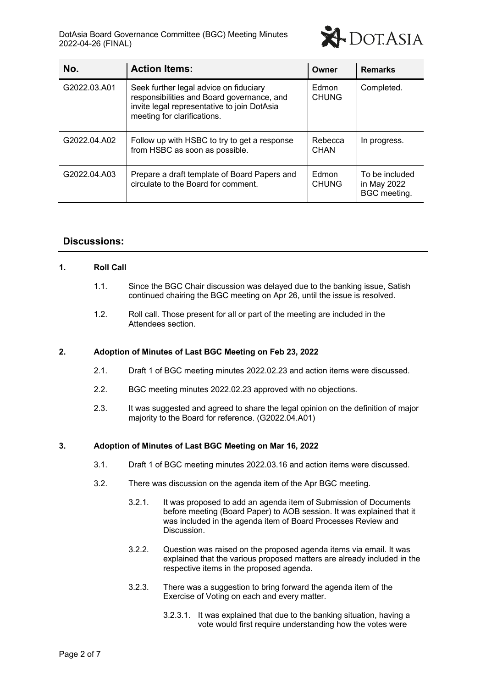

| No.          | <b>Action Items:</b>                                                                                                                                               | Owner                        | <b>Remarks</b>                                       |
|--------------|--------------------------------------------------------------------------------------------------------------------------------------------------------------------|------------------------------|------------------------------------------------------|
| G2022.03.A01 | Seek further legal advice on fiduciary<br>responsibilities and Board governance, and<br>invite legal representative to join DotAsia<br>meeting for clarifications. | Edmon<br><b>CHUNG</b>        | Completed.                                           |
| G2022.04.A02 | Follow up with HSBC to try to get a response<br>from HSBC as soon as possible.                                                                                     | Rebecca<br>CHAN              | In progress.                                         |
| G2022.04.A03 | Prepare a draft template of Board Papers and<br>circulate to the Board for comment.                                                                                | <b>Edmon</b><br><b>CHUNG</b> | To be included<br>in May 2022<br><b>BGC</b> meeting. |

# **Discussions:**

#### **1. Roll Call**

- 1.1. Since the BGC Chair discussion was delayed due to the banking issue, Satish continued chairing the BGC meeting on Apr 26, until the issue is resolved.
- 1.2. Roll call. Those present for all or part of the meeting are included in the Attendees section.

### **2. Adoption of Minutes of Last BGC Meeting on Feb 23, 2022**

- 2.1. Draft 1 of BGC meeting minutes 2022.02.23 and action items were discussed.
- 2.2. BGC meeting minutes 2022.02.23 approved with no objections.
- 2.3. It was suggested and agreed to share the legal opinion on the definition of major majority to the Board for reference. (G2022.04.A01)

### **3. Adoption of Minutes of Last BGC Meeting on Mar 16, 2022**

- 3.1. Draft 1 of BGC meeting minutes 2022.03.16 and action items were discussed.
- 3.2. There was discussion on the agenda item of the Apr BGC meeting.
	- 3.2.1. It was proposed to add an agenda item of Submission of Documents before meeting (Board Paper) to AOB session. It was explained that it was included in the agenda item of Board Processes Review and Discussion.
	- 3.2.2. Question was raised on the proposed agenda items via email. It was explained that the various proposed matters are already included in the respective items in the proposed agenda.
	- 3.2.3. There was a suggestion to bring forward the agenda item of the Exercise of Voting on each and every matter.
		- 3.2.3.1. It was explained that due to the banking situation, having a vote would first require understanding how the votes were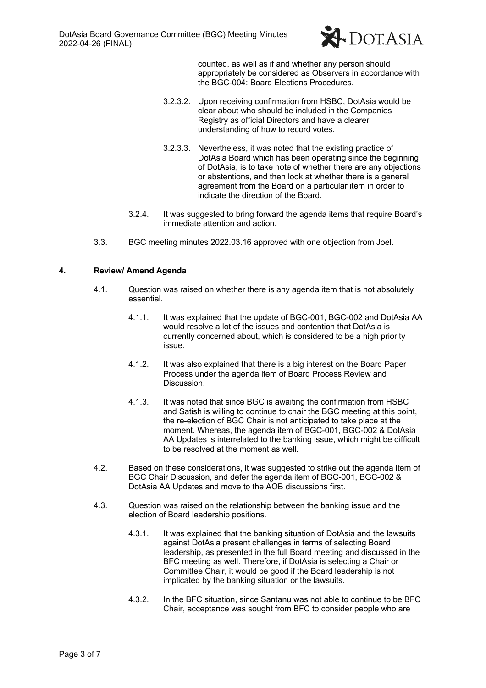

counted, as well as if and whether any person should appropriately be considered as Observers in accordance with the BGC-004: Board Elections Procedures.

- 3.2.3.2. Upon receiving confirmation from HSBC, DotAsia would be clear about who should be included in the Companies Registry as official Directors and have a clearer understanding of how to record votes.
- 3.2.3.3. Nevertheless, it was noted that the existing practice of DotAsia Board which has been operating since the beginning of DotAsia, is to take note of whether there are any objections or abstentions, and then look at whether there is a general agreement from the Board on a particular item in order to indicate the direction of the Board.
- 3.2.4. It was suggested to bring forward the agenda items that require Board's immediate attention and action.
- 3.3. BGC meeting minutes 2022.03.16 approved with one objection from Joel.

### **4. Review/ Amend Agenda**

- 4.1. Question was raised on whether there is any agenda item that is not absolutely essential.
	- 4.1.1. It was explained that the update of BGC-001, BGC-002 and DotAsia AA would resolve a lot of the issues and contention that DotAsia is currently concerned about, which is considered to be a high priority issue.
	- 4.1.2. It was also explained that there is a big interest on the Board Paper Process under the agenda item of Board Process Review and **Discussion**
	- 4.1.3. It was noted that since BGC is awaiting the confirmation from HSBC and Satish is willing to continue to chair the BGC meeting at this point, the re-election of BGC Chair is not anticipated to take place at the moment. Whereas, the agenda item of BGC-001, BGC-002 & DotAsia AA Updates is interrelated to the banking issue, which might be difficult to be resolved at the moment as well.
- 4.2. Based on these considerations, it was suggested to strike out the agenda item of BGC Chair Discussion, and defer the agenda item of BGC-001, BGC-002 & DotAsia AA Updates and move to the AOB discussions first.
- 4.3. Question was raised on the relationship between the banking issue and the election of Board leadership positions.
	- 4.3.1. It was explained that the banking situation of DotAsia and the lawsuits against DotAsia present challenges in terms of selecting Board leadership, as presented in the full Board meeting and discussed in the BFC meeting as well. Therefore, if DotAsia is selecting a Chair or Committee Chair, it would be good if the Board leadership is not implicated by the banking situation or the lawsuits.
	- 4.3.2. In the BFC situation, since Santanu was not able to continue to be BFC Chair, acceptance was sought from BFC to consider people who are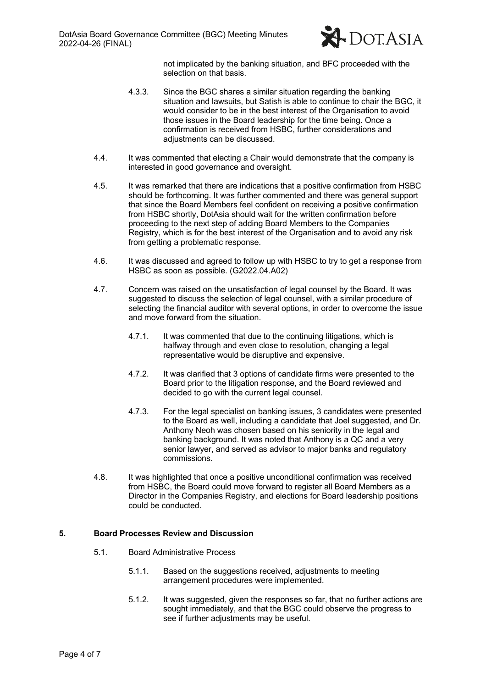

not implicated by the banking situation, and BFC proceeded with the selection on that basis.

- 4.3.3. Since the BGC shares a similar situation regarding the banking situation and lawsuits, but Satish is able to continue to chair the BGC, it would consider to be in the best interest of the Organisation to avoid those issues in the Board leadership for the time being. Once a confirmation is received from HSBC, further considerations and adjustments can be discussed.
- 4.4. It was commented that electing a Chair would demonstrate that the company is interested in good governance and oversight.
- 4.5. It was remarked that there are indications that a positive confirmation from HSBC should be forthcoming. It was further commented and there was general support that since the Board Members feel confident on receiving a positive confirmation from HSBC shortly, DotAsia should wait for the written confirmation before proceeding to the next step of adding Board Members to the Companies Registry, which is for the best interest of the Organisation and to avoid any risk from getting a problematic response.
- 4.6. It was discussed and agreed to follow up with HSBC to try to get a response from HSBC as soon as possible. (G2022.04.A02)
- 4.7. Concern was raised on the unsatisfaction of legal counsel by the Board. It was suggested to discuss the selection of legal counsel, with a similar procedure of selecting the financial auditor with several options, in order to overcome the issue and move forward from the situation.
	- 4.7.1. It was commented that due to the continuing litigations, which is halfway through and even close to resolution, changing a legal representative would be disruptive and expensive.
	- 4.7.2. It was clarified that 3 options of candidate firms were presented to the Board prior to the litigation response, and the Board reviewed and decided to go with the current legal counsel.
	- 4.7.3. For the legal specialist on banking issues, 3 candidates were presented to the Board as well, including a candidate that Joel suggested, and Dr. Anthony Neoh was chosen based on his seniority in the legal and banking background. It was noted that Anthony is a QC and a very senior lawyer, and served as advisor to major banks and regulatory commissions.
- 4.8. It was highlighted that once a positive unconditional confirmation was received from HSBC, the Board could move forward to register all Board Members as a Director in the Companies Registry, and elections for Board leadership positions could be conducted.

### **5. Board Processes Review and Discussion**

- 5.1. Board Administrative Process
	- 5.1.1. Based on the suggestions received, adjustments to meeting arrangement procedures were implemented.
	- 5.1.2. It was suggested, given the responses so far, that no further actions are sought immediately, and that the BGC could observe the progress to see if further adjustments may be useful.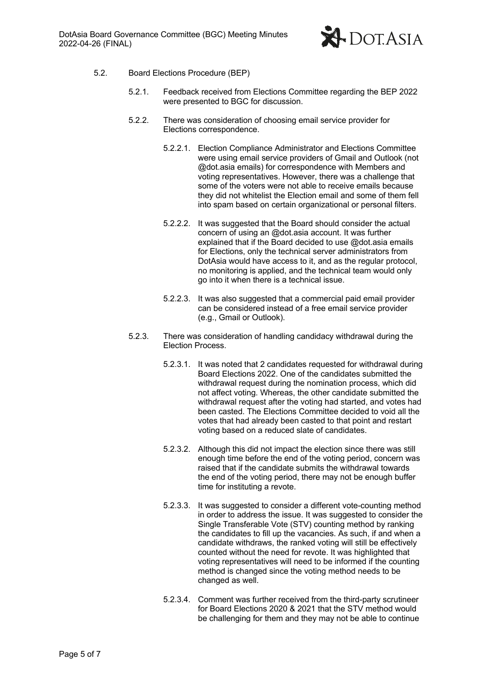

- 5.2. Board Elections Procedure (BEP)
	- 5.2.1. Feedback received from Elections Committee regarding the BEP 2022 were presented to BGC for discussion.
	- 5.2.2. There was consideration of choosing email service provider for Elections correspondence.
		- 5.2.2.1. Election Compliance Administrator and Elections Committee were using email service providers of Gmail and Outlook (not @dot.asia emails) for correspondence with Members and voting representatives. However, there was a challenge that some of the voters were not able to receive emails because they did not whitelist the Election email and some of them fell into spam based on certain organizational or personal filters.
		- 5.2.2.2. It was suggested that the Board should consider the actual concern of using an @dot.asia account. It was further explained that if the Board decided to use @dot.asia emails for Elections, only the technical server administrators from DotAsia would have access to it, and as the regular protocol, no monitoring is applied, and the technical team would only go into it when there is a technical issue.
		- 5.2.2.3. It was also suggested that a commercial paid email provider can be considered instead of a free email service provider (e.g., Gmail or Outlook).
	- 5.2.3. There was consideration of handling candidacy withdrawal during the Election Process.
		- 5.2.3.1. It was noted that 2 candidates requested for withdrawal during Board Elections 2022. One of the candidates submitted the withdrawal request during the nomination process, which did not affect voting. Whereas, the other candidate submitted the withdrawal request after the voting had started, and votes had been casted. The Elections Committee decided to void all the votes that had already been casted to that point and restart voting based on a reduced slate of candidates.
		- 5.2.3.2. Although this did not impact the election since there was still enough time before the end of the voting period, concern was raised that if the candidate submits the withdrawal towards the end of the voting period, there may not be enough buffer time for instituting a revote.
		- 5.2.3.3. It was suggested to consider a different vote-counting method in order to address the issue. It was suggested to consider the Single Transferable Vote (STV) counting method by ranking the candidates to fill up the vacancies. As such, if and when a candidate withdraws, the ranked voting will still be effectively counted without the need for revote. It was highlighted that voting representatives will need to be informed if the counting method is changed since the voting method needs to be changed as well.
		- 5.2.3.4. Comment was further received from the third-party scrutineer for Board Elections 2020 & 2021 that the STV method would be challenging for them and they may not be able to continue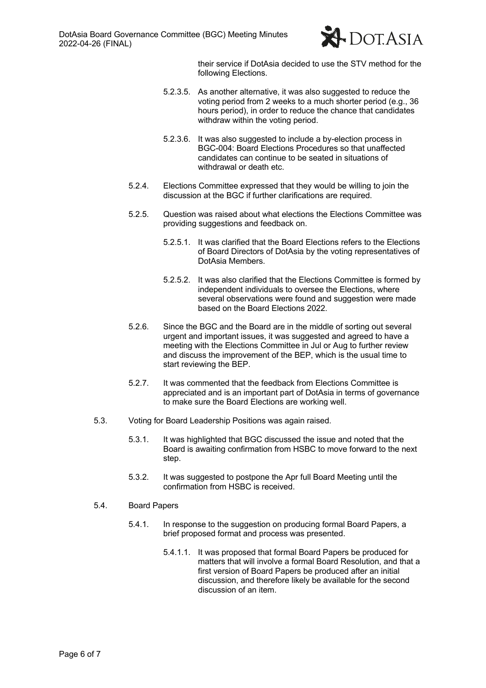

their service if DotAsia decided to use the STV method for the following Elections.

- 5.2.3.5. As another alternative, it was also suggested to reduce the voting period from 2 weeks to a much shorter period (e.g., 36 hours period), in order to reduce the chance that candidates withdraw within the voting period.
- 5.2.3.6. It was also suggested to include a by-election process in BGC-004: Board Elections Procedures so that unaffected candidates can continue to be seated in situations of withdrawal or death etc.
- 5.2.4. Elections Committee expressed that they would be willing to join the discussion at the BGC if further clarifications are required.
- 5.2.5. Question was raised about what elections the Elections Committee was providing suggestions and feedback on.
	- 5.2.5.1. It was clarified that the Board Elections refers to the Elections of Board Directors of DotAsia by the voting representatives of DotAsia Members.
	- 5.2.5.2. It was also clarified that the Elections Committee is formed by independent individuals to oversee the Elections, where several observations were found and suggestion were made based on the Board Elections 2022.
- 5.2.6. Since the BGC and the Board are in the middle of sorting out several urgent and important issues, it was suggested and agreed to have a meeting with the Elections Committee in Jul or Aug to further review and discuss the improvement of the BEP, which is the usual time to start reviewing the BEP.
- 5.2.7. It was commented that the feedback from Elections Committee is appreciated and is an important part of DotAsia in terms of governance to make sure the Board Elections are working well.
- 5.3. Voting for Board Leadership Positions was again raised.
	- 5.3.1. It was highlighted that BGC discussed the issue and noted that the Board is awaiting confirmation from HSBC to move forward to the next step.
	- 5.3.2. It was suggested to postpone the Apr full Board Meeting until the confirmation from HSBC is received.
- 5.4. Board Papers
	- 5.4.1. In response to the suggestion on producing formal Board Papers, a brief proposed format and process was presented.
		- 5.4.1.1. It was proposed that formal Board Papers be produced for matters that will involve a formal Board Resolution, and that a first version of Board Papers be produced after an initial discussion, and therefore likely be available for the second discussion of an item.